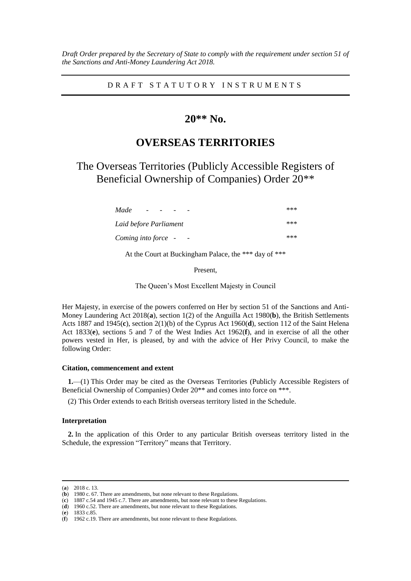*Draft Order prepared by the Secretary of State to comply with the requirement under section 51 of the Sanctions and Anti-Money Laundering Act 2018.*

D R A F T S T A T U T O R Y I N S T R U M E N T S

## **20\*\* No.**

# **OVERSEAS TERRITORIES**

The Overseas Territories (Publicly Accessible Registers of Beneficial Ownership of Companies) Order 20\*\*

| Made<br>$\overline{\phantom{a}}$ | *** |
|----------------------------------|-----|
| Laid before Parliament           | *** |
| Coming into force -              | *** |

At the Court at Buckingham Palace, the \*\*\* day of \*\*\*

Present,

The Queen's Most Excellent Majesty in Council

Her Majesty, in exercise of the powers conferred on Her by section 51 of the Sanctions and Anti-Money Laundering Act 2018(**a**), section 1(2) of the Anguilla Act 1980(**b**), the British Settlements Acts 1887 and 1945(**c**), section 2(1)(b) of the Cyprus Act 1960(**d**), section 112 of the Saint Helena Act 1833(**e**), sections 5 and 7 of the West Indies Act 1962(**f**), and in exercise of all the other powers vested in Her, is pleased, by and with the advice of Her Privy Council, to make the following Order:

#### **Citation, commencement and extent**

**1.**—(1) This Order may be cited as the Overseas Territories (Publicly Accessible Registers of Beneficial Ownership of Companies) Order 20\*\* and comes into force on \*\*\*.

(2) This Order extends to each British overseas territory listed in the Schedule.

#### **Interpretation**

**2.** In the application of this Order to any particular British overseas territory listed in the Schedule, the expression "Territory" means that Territory.

 $\overline{a}$ 

(**e**) 1833 c.85.

<sup>(</sup>**a**) 2018 c. 13.

<sup>(</sup>**b**) 1980 c. 67. There are amendments, but none relevant to these Regulations.

<sup>(</sup>**c**) 1887 c.54 and 1945 c.7. There are amendments, but none relevant to these Regulations.

<sup>(</sup>**d**) 1960 c.52. There are amendments, but none relevant to these Regulations.

<sup>(</sup>**f**) 1962 c.19. There are amendments, but none relevant to these Regulations.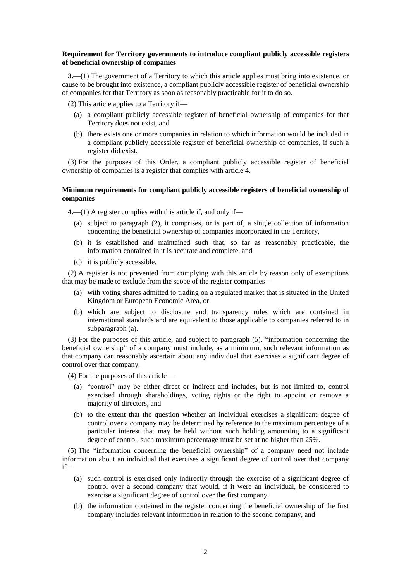#### **Requirement for Territory governments to introduce compliant publicly accessible registers of beneficial ownership of companies**

**3.**—(1) The government of a Territory to which this article applies must bring into existence, or cause to be brought into existence, a compliant publicly accessible register of beneficial ownership of companies for that Territory as soon as reasonably practicable for it to do so.

(2) This article applies to a Territory if—

- (a) a compliant publicly accessible register of beneficial ownership of companies for that Territory does not exist, and
- (b) there exists one or more companies in relation to which information would be included in a compliant publicly accessible register of beneficial ownership of companies, if such a register did exist.

(3) For the purposes of this Order, a compliant publicly accessible register of beneficial ownership of companies is a register that complies with article 4.

#### **Minimum requirements for compliant publicly accessible registers of beneficial ownership of companies**

**4.**—(1) A register complies with this article if, and only if—

- (a) subject to paragraph (2), it comprises, or is part of, a single collection of information concerning the beneficial ownership of companies incorporated in the Territory,
- (b) it is established and maintained such that, so far as reasonably practicable, the information contained in it is accurate and complete, and
- (c) it is publicly accessible.

(2) A register is not prevented from complying with this article by reason only of exemptions that may be made to exclude from the scope of the register companies—

- (a) with voting shares admitted to trading on a regulated market that is situated in the United Kingdom or European Economic Area, or
- (b) which are subject to disclosure and transparency rules which are contained in international standards and are equivalent to those applicable to companies referred to in subparagraph (a).

(3) For the purposes of this article, and subject to paragraph (5), "information concerning the beneficial ownership" of a company must include, as a minimum, such relevant information as that company can reasonably ascertain about any individual that exercises a significant degree of control over that company.

(4) For the purposes of this article—

- (a) "control" may be either direct or indirect and includes, but is not limited to, control exercised through shareholdings, voting rights or the right to appoint or remove a majority of directors, and
- (b) to the extent that the question whether an individual exercises a significant degree of control over a company may be determined by reference to the maximum percentage of a particular interest that may be held without such holding amounting to a significant degree of control, such maximum percentage must be set at no higher than 25%.

(5) The "information concerning the beneficial ownership" of a company need not include information about an individual that exercises a significant degree of control over that company if—

- (a) such control is exercised only indirectly through the exercise of a significant degree of control over a second company that would, if it were an individual, be considered to exercise a significant degree of control over the first company,
- (b) the information contained in the register concerning the beneficial ownership of the first company includes relevant information in relation to the second company, and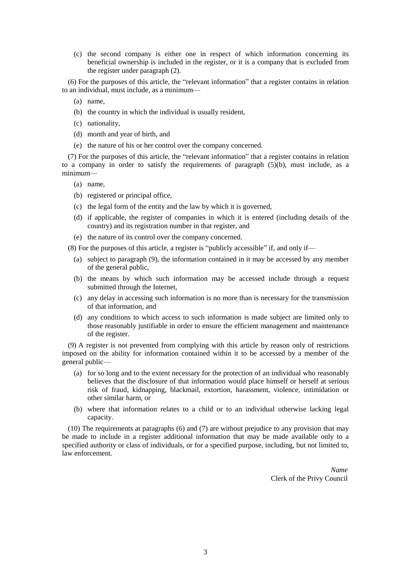(c) the second company is either one in respect of which information concerning its beneficial ownership is included in the register, or it is a company that is excluded from the register under paragraph (2).

(6) For the purposes of this article, the "relevant information" that a register contains in relation to an individual, must include, as a minimum—

- (a) name,
- (b) the country in which the individual is usually resident,
- (c) nationality,
- (d) month and year of birth, and
- (e) the nature of his or her control over the company concerned.

(7) For the purposes of this article, the "relevant information" that a register contains in relation to a company in order to satisfy the requirements of paragraph  $(5)(b)$ , must include, as a minimum—

- (a) name,
- (b) registered or principal office,
- (c) the legal form of the entity and the law by which it is governed,
- (d) if applicable, the register of companies in which it is entered (including details of the country) and its registration number in that register, and
- (e) the nature of its control over the company concerned.

(8) For the purposes of this article, a register is "publicly accessible" if, and only if—

- (a) subject to paragraph (9), the information contained in it may be accessed by any member of the general public,
- (b) the means by which such information may be accessed include through a request submitted through the Internet,
- (c) any delay in accessing such information is no more than is necessary for the transmission of that information, and
- (d) any conditions to which access to such information is made subject are limited only to those reasonably justifiable in order to ensure the efficient management and maintenance of the register.

(9) A register is not prevented from complying with this article by reason only of restrictions imposed on the ability for information contained within it to be accessed by a member of the general public—

- (a) for so long and to the extent necessary for the protection of an individual who reasonably believes that the disclosure of that information would place himself or herself at serious risk of fraud, kidnapping, blackmail, extortion, harassment, violence, intimidation or other similar harm, or
- (b) where that information relates to a child or to an individual otherwise lacking legal capacity.

(10) The requirements at paragraphs (6) and (7) are without prejudice to any provision that may be made to include in a register additional information that may be made available only to a specified authority or class of individuals, or for a specified purpose, including, but not limited to, law enforcement.

> *Name* Clerk of the Privy Council